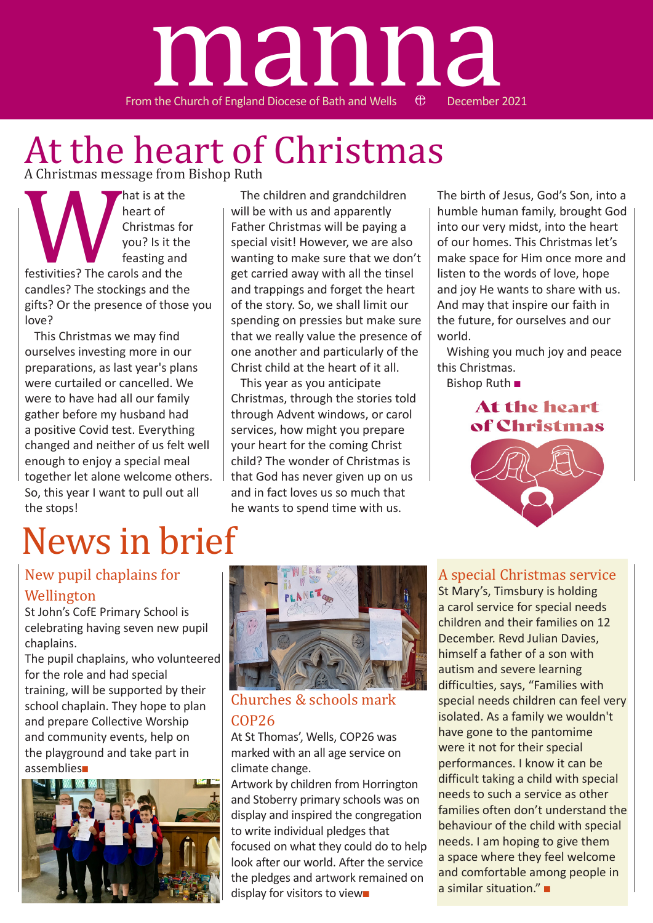

## At the heart of Christmas A Christmas message from Bishop Ruth

heart of<br>heart of<br>christmas fo<br>you? Is it the<br>feasting and<br>candles? The stockings and the<br>gifts? Or the presence of those heart of Christmas for you? Is it the feasting and festivities? The carols and the candles? The stockings and the gifts? Or the presence of those you love?

This Christmas we may find ourselves investing more in our preparations, as last year's plans were curtailed or cancelled. We were to have had all our family gather before my husband had a positive Covid test. Everything changed and neither of us felt well enough to enjoy a special meal together let alone welcome others. So, this year I want to pull out all the stops!

# News in brief

The children and grandchildren will be with us and apparently Father Christmas will be paying a special visit! However, we are also wanting to make sure that we don't get carried away with all the tinsel and trappings and forget the heart of the story. So, we shall limit our spending on pressies but make sure that we really value the presence of one another and particularly of the Christ child at the heart of it all.

This year as you anticipate Christmas, through the stories told through Advent windows, or carol services, how might you prepare your heart for the coming Christ child? The wonder of Christmas is that God has never given up on us and in fact loves us so much that he wants to spend time with us.

The birth of Jesus, God's Son, into a humble human family, brought God into our very midst, into the heart of our homes. This Christmas let's make space for Him once more and listen to the words of love, hope and joy He wants to share with us. And may that inspire our faith in the future, for ourselves and our world.

Wishing you much joy and peace this Christmas.

Bishop Ruth ■



### New pupil chaplains for Wellington

St John's CofE Primary School is celebrating having seven new pupil chaplains.

The pupil chaplains, who volunteered for the role and had special training, will be supported by their school chaplain. They hope to plan and prepare Collective Worship and community events, help on the playground and take part in assemblies■





### Churches & schools mark COP26

At St Thomas', Wells, COP26 was marked with an all age service on climate change.

Artwork by children from Horrington and Stoberry primary schools was on display and inspired the congregation to write individual pledges that focused on what they could do to help look after our world. After the service the pledges and artwork remained on display for visitors to view■

### A special Christmas service

St Mary's, Timsbury is holding a carol service for special needs children and their families on 12 December. Revd Julian Davies, himself a father of a son with autism and severe learning difficulties, says, "Families with special needs children can feel very isolated. As a family we wouldn't have gone to the pantomime were it not for their special performances. I know it can be difficult taking a child with special needs to such a service as other families often don't understand the behaviour of the child with special needs. I am hoping to give them a space where they feel welcome and comfortable among people in a similar situation." ■